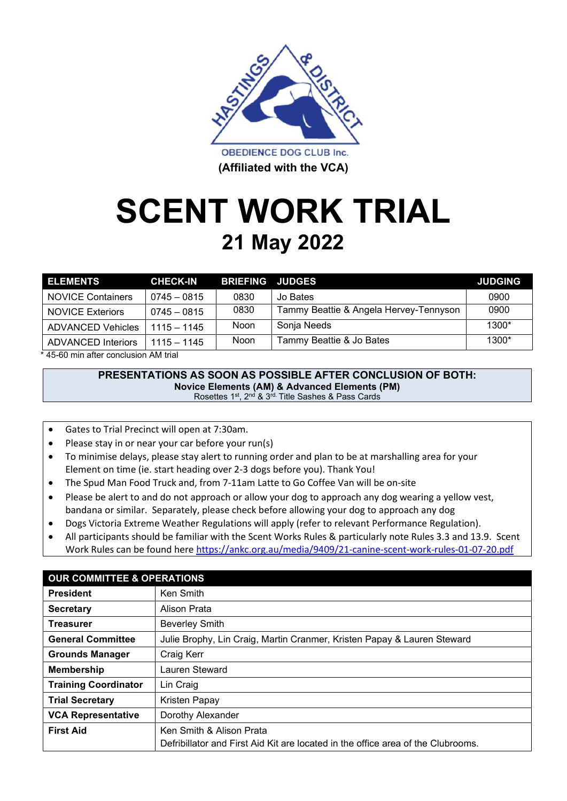

# **SCENT WORK TRIAL 21 May 2022**

| <b>ELEMENTS</b>           | <b>CHECK-IN</b> | <b>BRIEFING JUDGES</b> |                                        | <b>JUDGING</b> |
|---------------------------|-----------------|------------------------|----------------------------------------|----------------|
| <b>NOVICE Containers</b>  | $0745 - 0815$   | 0830                   | Jo Bates                               | 0900           |
| <b>NOVICE Exteriors</b>   | $0745 - 0815$   | 0830                   | Tammy Beattie & Angela Hervey-Tennyson | 0900           |
| <b>ADVANCED Vehicles</b>  | $1115 - 1145$   | <b>Noon</b>            | Sonja Needs                            | $1300*$        |
| <b>ADVANCED Interiors</b> | $1115 - 1145$   | Noon                   | Tammy Beattie & Jo Bates               | 1300*          |

\* 45-60 min after conclusion AM trial

#### **PRESENTATIONS AS SOON AS POSSIBLE AFTER CONCLUSION OF BOTH: Novice Elements (AM) & Advanced Elements (PM)**

Rosettes 1<sup>st</sup>, 2<sup>nd</sup> & 3<sup>rd.</sup> Title Sashes & Pass Cards

- Gates to Trial Precinct will open at 7:30am.
- Please stay in or near your car before your run(s)
- To minimise delays, please stay alert to running order and plan to be at marshalling area for your Element on time (ie. start heading over 2-3 dogs before you). Thank You!
- The Spud Man Food Truck and, from 7-11am Latte to Go Coffee Van will be on-site
- Please be alert to and do not approach or allow your dog to approach any dog wearing a yellow vest, bandana or similar. Separately, please check before allowing your dog to approach any dog
- Dogs Victoria Extreme Weather Regulations will apply (refer to relevant Performance Regulation).
- All participants should be familiar with the Scent Works Rules & particularly note Rules 3.3 and 13.9. Scent Work Rules can be found here https://ankc.org.au/media/9409/21-canine-scent-work-rules-01-07-20.pdf

| <b>OUR COMMITTEE &amp; OPERATIONS</b> |                                                                                                              |  |  |
|---------------------------------------|--------------------------------------------------------------------------------------------------------------|--|--|
| <b>President</b>                      | Ken Smith                                                                                                    |  |  |
| <b>Secretary</b>                      | Alison Prata                                                                                                 |  |  |
| <b>Treasurer</b>                      | <b>Beverley Smith</b>                                                                                        |  |  |
| <b>General Committee</b>              | Julie Brophy, Lin Craig, Martin Cranmer, Kristen Papay & Lauren Steward                                      |  |  |
| <b>Grounds Manager</b>                | Craig Kerr                                                                                                   |  |  |
| <b>Membership</b>                     | Lauren Steward                                                                                               |  |  |
| <b>Training Coordinator</b>           | Lin Craig                                                                                                    |  |  |
| <b>Trial Secretary</b>                | Kristen Papay                                                                                                |  |  |
| <b>VCA Representative</b>             | Dorothy Alexander                                                                                            |  |  |
| <b>First Aid</b>                      | Ken Smith & Alison Prata<br>Defribillator and First Aid Kit are located in the office area of the Clubrooms. |  |  |
|                                       |                                                                                                              |  |  |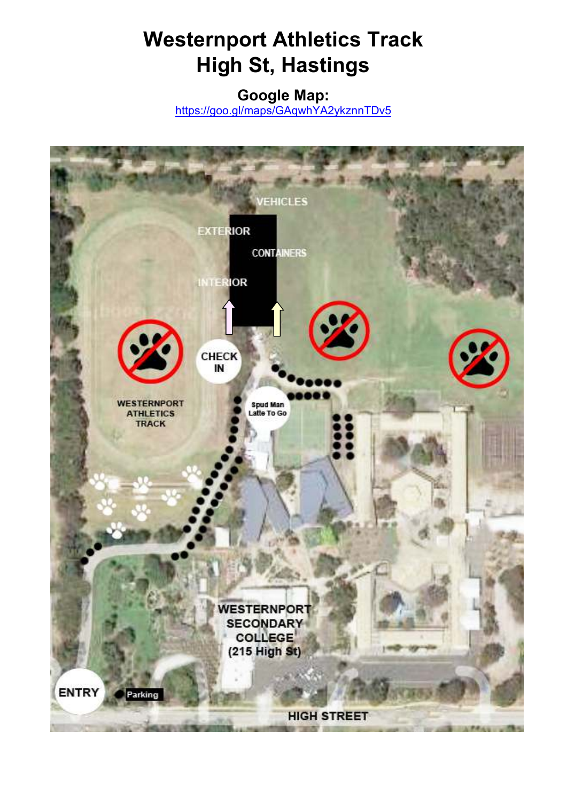#### **Westernport Athletics Track High St, Hastings**

**Google Map:** 

https://goo.gl/maps/GAqwhYA2ykznnTDv5

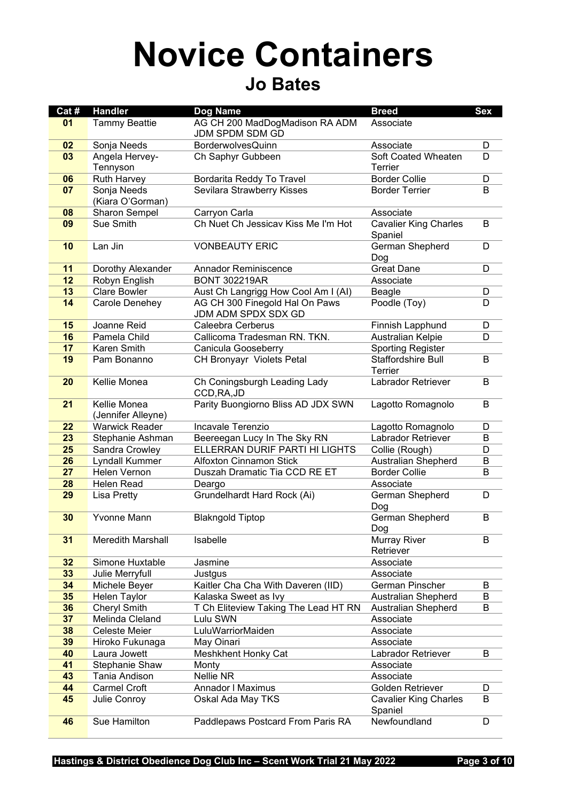#### **Novice Containers Jo Bates**

| Cat # | <b>Handler</b>                     | Dog Name                                              | <b>Breed</b>                            | <b>Sex</b> |
|-------|------------------------------------|-------------------------------------------------------|-----------------------------------------|------------|
| 01    | <b>Tammy Beattie</b>               | AG CH 200 MadDogMadison RA ADM<br>JDM SPDM SDM GD     | Associate                               |            |
| 02    | Sonja Needs                        | <b>BorderwolvesQuinn</b>                              | Associate                               | D          |
| 03    | Angela Hervey-<br>Tennyson         | Ch Saphyr Gubbeen                                     | Soft Coated Wheaten<br>Terrier          | D          |
| 06    | <b>Ruth Harvey</b>                 | Bordarita Reddy To Travel                             | <b>Border Collie</b>                    | D          |
| 07    | Sonja Needs<br>(Kiara O'Gorman)    | Sevilara Strawberry Kisses                            | <b>Border Terrier</b>                   | B          |
| 08    | Sharon Sempel                      | Carryon Carla                                         | Associate                               |            |
| 09    | Sue Smith                          | Ch Nuet Ch Jessicav Kiss Me I'm Hot                   | <b>Cavalier King Charles</b><br>Spaniel | B          |
| 10    | Lan Jin                            | <b>VONBEAUTY ERIC</b>                                 | German Shepherd<br>Dog                  | D          |
| 11    | Dorothy Alexander                  | <b>Annador Reminiscence</b>                           | <b>Great Dane</b>                       | D          |
| 12    | Robyn English                      | <b>BONT 302219AR</b>                                  | Associate                               |            |
| 13    | <b>Clare Bowler</b>                | Aust Ch Langrigg How Cool Am I (AI)                   | Beagle                                  | D          |
| 14    | Carole Denehey                     | AG CH 300 Finegold Hal On Paws<br>JDM ADM SPDX SDX GD | Poodle (Toy)                            | D          |
| 15    | Joanne Reid                        | Caleebra Cerberus                                     | Finnish Lapphund                        | D          |
| 16    | Pamela Child                       | Callicoma Tradesman RN. TKN.                          | Australian Kelpie                       | D          |
| 17    | Karen Smith                        | Canicula Gooseberry                                   | <b>Sporting Register</b>                |            |
| 19    | Pam Bonanno                        | CH Bronyayr Violets Petal                             | Staffordshire Bull<br>Terrier           | B          |
| 20    | Kellie Monea                       | Ch Coningsburgh Leading Lady<br>CCD, RA, JD           | Labrador Retriever                      | B          |
| 21    | Kellie Monea<br>(Jennifer Alleyne) | Parity Buongiorno Bliss AD JDX SWN                    | Lagotto Romagnolo                       | B          |
| 22    | <b>Warwick Reader</b>              | Incavale Terenzio                                     | Lagotto Romagnolo                       | D          |
| 23    | Stephanie Ashman                   | Beereegan Lucy In The Sky RN                          | Labrador Retriever                      | B          |
| 25    | Sandra Crowley                     | ELLERRAN DURIF PARTI HI LIGHTS                        | Collie (Rough)                          | D          |
| 26    | Lyndall Kummer                     | <b>Alfoxton Cinnamon Stick</b>                        | <b>Australian Shepherd</b>              | B          |
| 27    | Helen Vernon                       | Duszah Dramatic Tia CCD RE ET                         | <b>Border Collie</b>                    | B          |
| 28    | Helen Read                         | Deargo                                                | Associate                               |            |
| 29    | <b>Lisa Pretty</b>                 | Grundelhardt Hard Rock (Ai)                           | German Shepherd<br>Dog                  | D          |
| 30    | Yvonne Mann                        | <b>Blakngold Tiptop</b>                               | German Shepherd<br><u>Dog</u>           | B          |
| 31    | <b>Meredith Marshall</b>           | Isabelle                                              | <b>Murray River</b><br>Retriever        | B          |
| 32    | Simone Huxtable                    | Jasmine                                               | Associate                               |            |
| 33    | Julie Merryfull                    | Justgus                                               | Associate                               |            |
| 34    | Michele Beyer                      | Kaitler Cha Cha With Daveren (IID)                    | German Pinscher                         | B          |
| 35    | Helen Taylor                       | Kalaska Sweet as Ivy                                  | <b>Australian Shepherd</b>              | B          |
| 36    | <b>Cheryl Smith</b>                | T Ch Eliteview Taking The Lead HT RN                  | <b>Australian Shepherd</b>              | B          |
| 37    | Melinda Cleland                    | Lulu SWN                                              | Associate                               |            |
| 38    | Celeste Meier                      | LuluWarriorMaiden                                     | Associate                               |            |
| 39    | Hiroko Fukunaga                    | May Oinari                                            | Associate                               |            |
| 40    | Laura Jowett                       | <b>Meshkhent Honky Cat</b>                            | Labrador Retriever                      | B          |
| 41    | Stephanie Shaw                     | Monty                                                 | Associate                               |            |
| 43    | Tania Andison                      | Nellie NR                                             | Associate                               |            |
| 44    | <b>Carmel Croft</b>                | Annador I Maximus                                     | Golden Retriever                        | D          |
| 45    | Julie Conroy                       | Oskal Ada May TKS                                     | <b>Cavalier King Charles</b><br>Spaniel | B          |
| 46    | Sue Hamilton                       | Paddlepaws Postcard From Paris RA                     | Newfoundland                            | D          |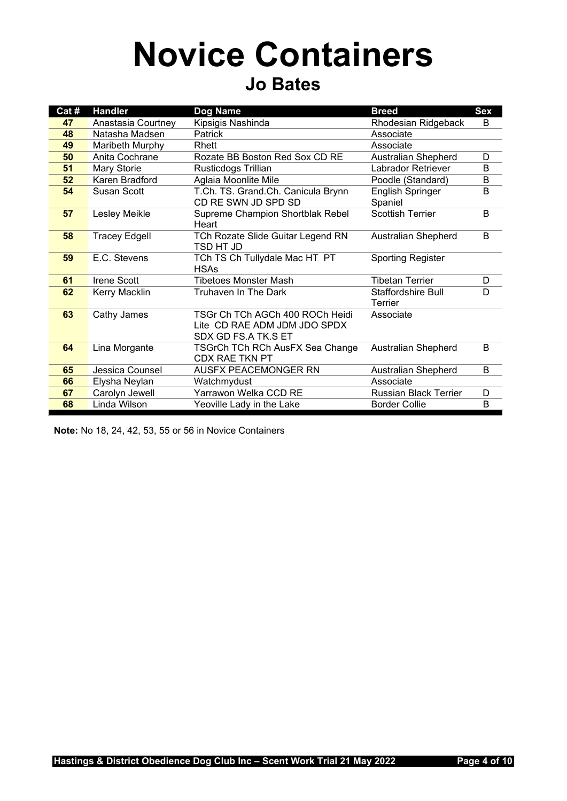## **Novice Containers Jo Bates**

| Cat # | <b>Handler</b>       | Dog Name                                                                               | <b>Breed</b>                  | <b>Sex</b> |
|-------|----------------------|----------------------------------------------------------------------------------------|-------------------------------|------------|
| 47    | Anastasia Courtney   | Kipsigis Nashinda                                                                      | Rhodesian Ridgeback           | B          |
| 48    | Natasha Madsen       | Patrick                                                                                | Associate                     |            |
| 49    | Maribeth Murphy      | Rhett                                                                                  | Associate                     |            |
| 50    | Anita Cochrane       | Rozate BB Boston Red Sox CD RE                                                         | <b>Australian Shepherd</b>    | D          |
| 51    | Mary Storie          | Rusticdogs Trillian                                                                    | <b>Labrador Retriever</b>     | B          |
| 52    | Karen Bradford       | Aglaia Moonlite Mile                                                                   | Poodle (Standard)             | В          |
| 54    | Susan Scott          | T.Ch. TS. Grand.Ch. Canicula Brynn<br>CD RE SWN JD SPD SD                              | English Springer<br>Spaniel   | B          |
| 57    | Lesley Meikle        | Supreme Champion Shortblak Rebel<br>Heart                                              | <b>Scottish Terrier</b>       | B          |
| 58    | <b>Tracey Edgell</b> | TCh Rozate Slide Guitar Legend RN<br>TSD HT JD                                         | Australian Shepherd           | B          |
| 59    | E.C. Stevens         | TCh TS Ch Tullydale Mac HT PT<br><b>HSAs</b>                                           | <b>Sporting Register</b>      |            |
| 61    | <b>Irene Scott</b>   | <b>Tibetoes Monster Mash</b>                                                           | <b>Tibetan Terrier</b>        | D          |
| 62    | Kerry Macklin        | Truhaven In The Dark                                                                   | Staffordshire Bull<br>Terrier | D          |
| 63    | Cathy James          | TSGr Ch TCh AGCh 400 ROCh Heidi<br>Lite CD RAE ADM JDM JDO SPDX<br>SDX GD FS.A TK.S ET | Associate                     |            |
| 64    | Lina Morgante        | TSGrCh TCh RCh AusFX Sea Change<br>CDX RAE TKN PT                                      | <b>Australian Shepherd</b>    | B          |
| 65    | Jessica Counsel      | AUSFX PEACEMONGER RN                                                                   | Australian Shepherd           | B          |
| 66    | Elysha Neylan        | Watchmydust                                                                            | Associate                     |            |
| 67    | Carolyn Jewell       | Yarrawon Welka CCD RE                                                                  | <b>Russian Black Terrier</b>  | D          |
| 68    | Linda Wilson         | Yeoville Lady in the Lake                                                              | <b>Border Collie</b>          | B          |

**Note:** No 18, 24, 42, 53, 55 or 56 in Novice Containers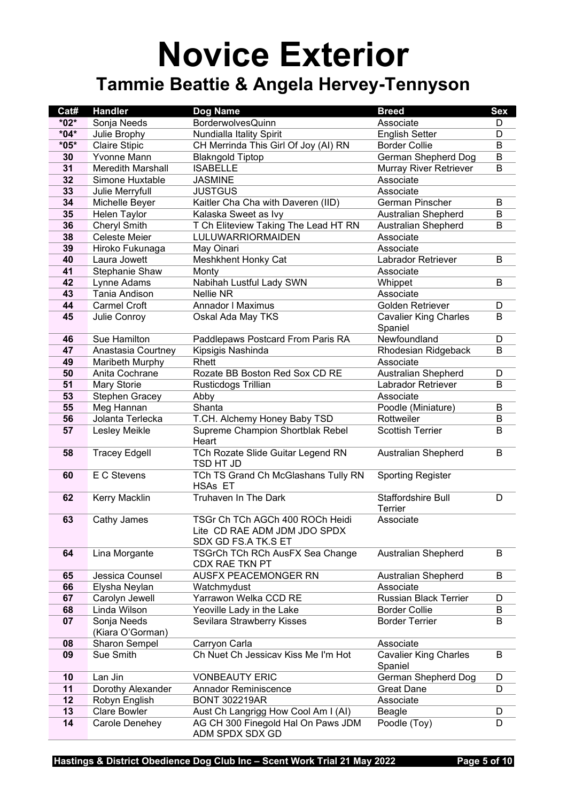#### **Novice Exterior Tammie Beattie & Angela Hervey-Tennyson**

| Cat#   | <b>Handler</b>                  | Dog Name                                                 | <b>Breed</b>                  | <b>Sex</b> |
|--------|---------------------------------|----------------------------------------------------------|-------------------------------|------------|
| $*02*$ | Sonja Needs                     | <b>BorderwolvesQuinn</b>                                 | Associate                     | D          |
| $*04*$ | Julie Brophy                    | Nundialla Itality Spirit                                 | <b>English Setter</b>         | D          |
| $*05*$ | <b>Claire Stipic</b>            | CH Merrinda This Girl Of Joy (AI) RN                     | <b>Border Collie</b>          | B          |
| 30     | Yvonne Mann                     | <b>Blakngold Tiptop</b>                                  | German Shepherd Dog           | B          |
| 31     | <b>Meredith Marshall</b>        | <b>ISABELLE</b>                                          | Murray River Retriever        | B          |
| 32     | Simone Huxtable                 | <b>JASMINE</b>                                           | Associate                     |            |
| 33     | Julie Merryfull                 | <b>JUSTGUS</b>                                           | Associate                     |            |
| 34     | Michelle Beyer                  | Kaitler Cha Cha with Daveren (IID)                       | German Pinscher               | B          |
| 35     | Helen Taylor                    | Kalaska Sweet as Ivy                                     | <b>Australian Shepherd</b>    | B          |
| 36     | <b>Cheryl Smith</b>             | T Ch Eliteview Taking The Lead HT RN                     | <b>Australian Shepherd</b>    | B          |
| 38     | Celeste Meier                   | LULUWARRIORMAIDEN                                        | Associate                     |            |
| 39     | Hiroko Fukunaga                 | May Oinari                                               | Associate                     |            |
| 40     | Laura Jowett                    | Meshkhent Honky Cat                                      | Labrador Retriever            | B          |
| 41     | Stephanie Shaw                  | Monty                                                    | Associate                     |            |
| 42     | Lynne Adams                     | Nabihah Lustful Lady SWN                                 | Whippet                       | B          |
| 43     | Tania Andison                   | Nellie NR                                                | Associate                     |            |
| 44     | <b>Carmel Croft</b>             | Annador I Maximus                                        | Golden Retriever              | D          |
| 45     | Julie Conroy                    | Oskal Ada May TKS                                        | <b>Cavalier King Charles</b>  | B          |
|        |                                 |                                                          | Spaniel                       |            |
| 46     | Sue Hamilton                    | Paddlepaws Postcard From Paris RA                        | Newfoundland                  | D          |
| 47     | Anastasia Courtney              | Kipsigis Nashinda                                        | Rhodesian Ridgeback           | B          |
| 49     | Maribeth Murphy                 | Rhett                                                    | Associate                     |            |
| 50     | Anita Cochrane                  | Rozate BB Boston Red Sox CD RE                           | <b>Australian Shepherd</b>    | D          |
| 51     | Mary Storie                     | Rusticdogs Trillian                                      | Labrador Retriever            | B          |
| 53     | <b>Stephen Gracey</b>           | Abby                                                     | Associate                     |            |
| 55     | Meg Hannan<br>Jolanta Terlecka  | Shanta                                                   | Poodle (Miniature)            | B          |
| 56     |                                 | T.CH. Alchemy Honey Baby TSD                             | Rottweiler                    | B          |
| 57     | Lesley Meikle                   | Supreme Champion Shortblak Rebel<br>Heart                | <b>Scottish Terrier</b>       | B          |
| 58     | <b>Tracey Edgell</b>            | TCh Rozate Slide Guitar Legend RN<br>TSD HT JD           | <b>Australian Shepherd</b>    | B          |
| 60     | E C Stevens                     | TCh TS Grand Ch McGlashans Tully RN<br><b>HSAs ET</b>    | <b>Sporting Register</b>      |            |
| 62     | Kerry Macklin                   | Truhaven In The Dark                                     | Staffordshire Bull<br>Terrier | D          |
| 63     | Cathy James                     | TSGr Ch TCh AGCh 400 ROCh Heidi                          | Associate                     |            |
|        |                                 | Lite CD RAE ADM JDM JDO SPDX                             |                               |            |
|        |                                 | SDX GD FS.A TK.S ET                                      |                               |            |
| 64     | Lina Morgante                   | TSGrCh TCh RCh AusFX Sea Change<br><b>CDX RAE TKN PT</b> | Australian Shepherd           | В          |
| 65     | Jessica Counsel                 | AUSFX PEACEMONGER RN                                     | Australian Shepherd           | В          |
| 66     | Elysha Neylan                   | Watchmydust                                              | Associate                     |            |
| 67     | Carolyn Jewell                  | Yarrawon Welka CCD RE                                    | <b>Russian Black Terrier</b>  | D          |
| 68     | Linda Wilson                    | Yeoville Lady in the Lake                                | <b>Border Collie</b>          | B          |
| 07     | Sonja Needs<br>(Kiara O'Gorman) | Sevilara Strawberry Kisses                               | <b>Border Terrier</b>         | В          |
| 08     | <b>Sharon Sempel</b>            | Carryon Carla                                            | Associate                     |            |
| 09     | Sue Smith                       | Ch Nuet Ch Jessicav Kiss Me I'm Hot                      | <b>Cavalier King Charles</b>  | B          |
|        |                                 |                                                          | Spaniel                       |            |
| 10     | Lan Jin                         | <b>VONBEAUTY ERIC</b>                                    | German Shepherd Dog           | D          |
| 11     | Dorothy Alexander               | <b>Annador Reminiscence</b>                              | <b>Great Dane</b>             | D          |
| 12     | Robyn English                   | <b>BONT 302219AR</b>                                     | Associate                     |            |
| 13     | <b>Clare Bowler</b>             | Aust Ch Langrigg How Cool Am I (AI)                      | Beagle                        | D          |
| 14     | Carole Denehey                  | AG CH 300 Finegold Hal On Paws JDM<br>ADM SPDX SDX GD    | Poodle (Toy)                  | D          |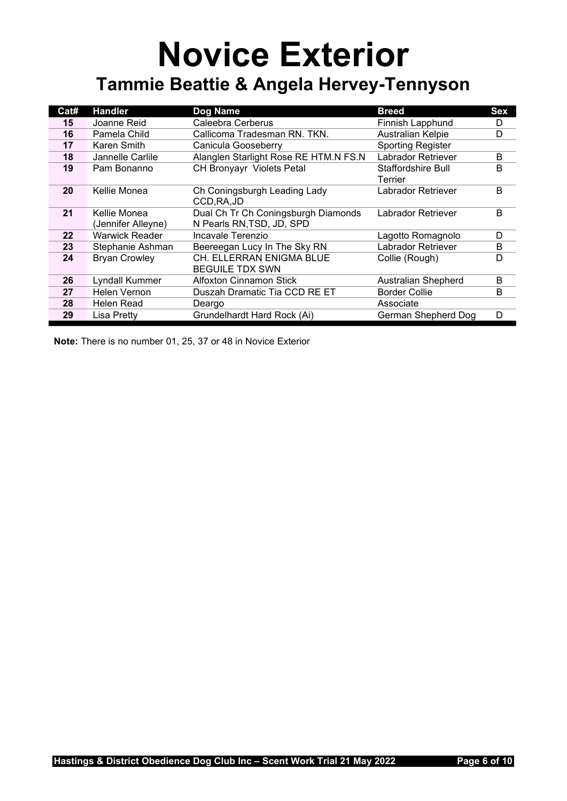#### **Novice Exterior Tammie Beattie & Angela Hervey-Tennyson**

| Cat# | <b>Handler</b>        | Dog Name                                    | <b>Breed</b>               | Sex |
|------|-----------------------|---------------------------------------------|----------------------------|-----|
| 15   | Joanne Reid           | Caleebra Cerberus                           | Finnish Lapphund           | D   |
| 16   | Pamela Child          | Callicoma Tradesman RN. TKN.                | Australian Kelpie          | D   |
| 17   | Karen Smith           | Canicula Gooseberry                         | <b>Sporting Register</b>   |     |
| 18   | Jannelle Carlile      | Alanglen Starlight Rose RE HTM.N FS.N       | Labrador Retriever         | B   |
| 19   | Pam Bonanno           | <b>CH Bronyayr Violets Petal</b>            | <b>Staffordshire Bull</b>  | B   |
|      |                       |                                             | Terrier                    |     |
| 20   | Kellie Monea          | Ch Coningsburgh Leading Lady<br>CCD, RA, JD | Labrador Retriever         | B   |
| 21   | Kellie Monea          | Dual Ch Tr Ch Coningsburgh Diamonds         | Labrador Retriever         | B   |
|      | (Jennifer Alleyne)    | N Pearls RN, TSD, JD, SPD                   |                            |     |
| 22   | <b>Warwick Reader</b> | Incavale Terenzio                           | Lagotto Romagnolo          | D   |
| 23   | Stephanie Ashman      | Beereegan Lucy In The Sky RN                | Labrador Retriever         | B   |
| 24   | <b>Bryan Crowley</b>  | CH. ELLERRAN ENIGMA BLUE                    | Collie (Rough)             | D   |
|      |                       | <b>BEGUILE TDX SWN</b>                      |                            |     |
| 26   | Lyndall Kummer        | <b>Alfoxton Cinnamon Stick</b>              | <b>Australian Shepherd</b> | B   |
| 27   | Helen Vernon          | Duszah Dramatic Tia CCD RE ET               | <b>Border Collie</b>       | B   |
| 28   | <b>Helen Read</b>     | Deargo                                      | Associate                  |     |
| 29   | Lisa Pretty           | Grundelhardt Hard Rock (Ai)                 | German Shepherd Dog        | D   |

**Note:** There is no number 01, 25, 37 or 48 in Novice Exterior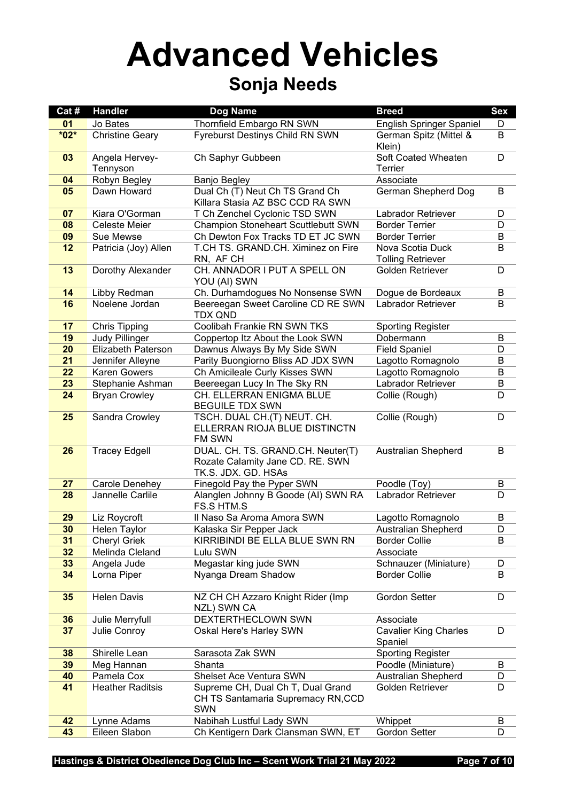## **Advanced Vehicles Sonja Needs**

| Cat#   | <b>Handler</b>             | Dog Name                                                                                     | <b>Breed</b>                                 | <b>Sex</b> |
|--------|----------------------------|----------------------------------------------------------------------------------------------|----------------------------------------------|------------|
| 01     | Jo Bates                   | Thornfield Embargo RN SWN                                                                    | <b>English Springer Spaniel</b>              | D          |
| $*02*$ | <b>Christine Geary</b>     | Fyreburst Destinys Child RN SWN                                                              | German Spitz (Mittel &<br>Klein)             | B          |
| 03     | Angela Hervey-<br>Tennyson | Ch Saphyr Gubbeen                                                                            | Soft Coated Wheaten<br>Terrier               | D          |
| 04     | Robyn Begley               | Banjo Begley                                                                                 | Associate                                    |            |
| 05     | Dawn Howard                | Dual Ch (T) Neut Ch TS Grand Ch<br>Killara Stasia AZ BSC CCD RA SWN                          | German Shepherd Dog                          | B          |
| 07     | Kiara O'Gorman             | T Ch Zenchel Cyclonic TSD SWN                                                                | Labrador Retriever                           | D          |
| 08     | <b>Celeste Meier</b>       | <b>Champion Stoneheart Scuttlebutt SWN</b>                                                   | <b>Border Terrier</b>                        | D          |
| 09     | Sue Mewse                  | Ch Dewton Fox Tracks TD ET JC SWN                                                            | <b>Border Terrier</b>                        | B          |
| 12     | Patricia (Joy) Allen       | T.CH TS. GRAND.CH. Ximinez on Fire<br>RN, AF CH                                              | Nova Scotia Duck<br><b>Tolling Retriever</b> | B          |
| 13     | Dorothy Alexander          | CH. ANNADOR I PUT A SPELL ON<br>YOU (AI) SWN                                                 | Golden Retriever                             | D          |
| 14     | Libby Redman               | Ch. Durhamdogues No Nonsense SWN                                                             | Dogue de Bordeaux                            | B          |
| 16     | Noelene Jordan             | Beereegan Sweet Caroline CD RE SWN<br>TDX QND                                                | Labrador Retriever                           | B          |
| 17     | <b>Chris Tipping</b>       | Coolibah Frankie RN SWN TKS                                                                  | <b>Sporting Register</b>                     |            |
| 19     | <b>Judy Pillinger</b>      | Coppertop Itz About the Look SWN                                                             | Dobermann                                    | В          |
| 20     | Elizabeth Paterson         | Dawnus Always By My Side SWN                                                                 | <b>Field Spaniel</b>                         | D          |
| 21     | Jennifer Alleyne           | Parity Buongiorno Bliss AD JDX SWN                                                           | Lagotto Romagnolo                            | B          |
| 22     | <b>Karen Gowers</b>        | Ch Amicileale Curly Kisses SWN                                                               | Lagotto Romagnolo                            | B          |
| 23     | Stephanie Ashman           | Beereegan Lucy In The Sky RN                                                                 | Labrador Retriever                           | B          |
| 24     | <b>Bryan Crowley</b>       | CH. ELLERRAN ENIGMA BLUE<br><b>BEGUILE TDX SWN</b>                                           | Collie (Rough)                               | D          |
| 25     | Sandra Crowley             | TSCH. DUAL CH.(T) NEUT. CH.<br>ELLERRAN RIOJA BLUE DISTINCTN<br>FM SWN                       | Collie (Rough)                               | D          |
| 26     | <b>Tracey Edgell</b>       | DUAL. CH. TS. GRAND.CH. Neuter(T)<br>Rozate Calamity Jane CD. RE. SWN<br>TK.S. JDX. GD. HSAs | <b>Australian Shepherd</b>                   | B          |
| 27     | Carole Denehey             | Finegold Pay the Pyper SWN                                                                   | Poodle (Toy)                                 | B          |
| 28     | Jannelle Carlile           | Alanglen Johnny B Goode (AI) SWN RA<br><b>FS.S HTM.S</b>                                     | Labrador Retriever                           | D          |
| 29     | Liz Roycroft               | Il Naso Sa Aroma Amora SWN                                                                   | Lagotto Romagnolo                            | В          |
| 30     | Helen Taylor               | Kalaska Sir Pepper Jack                                                                      | Australian Shepherd                          | D          |
| 31     | <b>Cheryl Griek</b>        | KIRRIBINDI BE ELLA BLUE SWN RN                                                               | <b>Border Collie</b>                         | В          |
| 32     | Melinda Cleland            | Lulu SWN                                                                                     | Associate                                    |            |
| 33     | Angela Jude                | Megastar king jude SWN                                                                       | Schnauzer (Miniature)                        | D          |
| 34     | Lorna Piper                | Nyanga Dream Shadow                                                                          | <b>Border Collie</b>                         | B          |
| 35     | <b>Helen Davis</b>         | NZ CH CH Azzaro Knight Rider (Imp<br>NZL) SWN CA                                             | <b>Gordon Setter</b>                         | D          |
| 36     | Julie Merryfull            | DEXTERTHECLOWN SWN                                                                           | Associate                                    |            |
| 37     | Julie Conroy               | Oskal Here's Harley SWN                                                                      | <b>Cavalier King Charles</b><br>Spaniel      | D          |
| 38     | Shirelle Lean              | Sarasota Zak SWN                                                                             | <b>Sporting Register</b>                     |            |
| 39     | Meg Hannan                 | Shanta                                                                                       | Poodle (Miniature)                           | B          |
| 40     | Pamela Cox                 | Shelset Ace Ventura SWN                                                                      | <b>Australian Shepherd</b>                   | D          |
| 41     | <b>Heather Raditsis</b>    | Supreme CH, Dual Ch T, Dual Grand<br>CH TS Santamaria Supremacy RN, CCD<br><b>SWN</b>        | Golden Retriever                             | D          |
| 42     | Lynne Adams                | Nabihah Lustful Lady SWN                                                                     | Whippet                                      | В          |
| 43     | Eileen Slabon              | Ch Kentigern Dark Clansman SWN, ET                                                           | <b>Gordon Setter</b>                         | D          |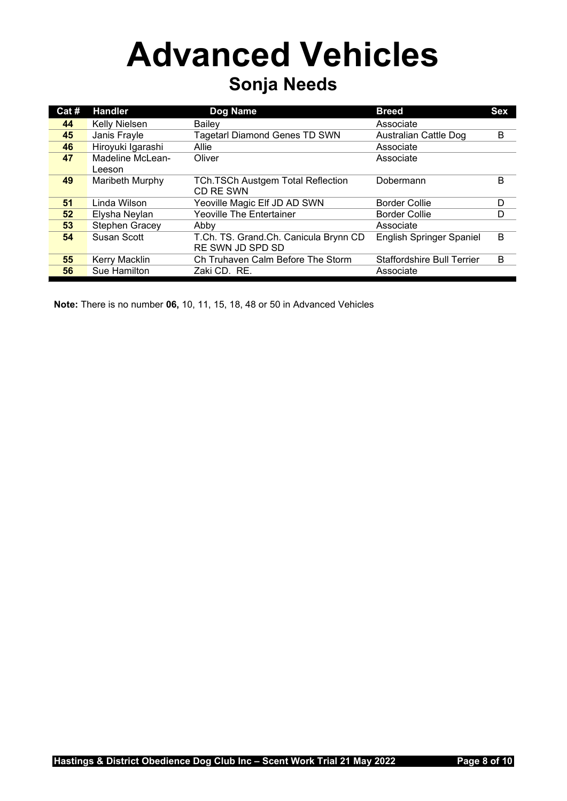## **Advanced Vehicles Sonja Needs**

| Cat# | <b>Handler</b>    | Dog Name                                 | <b>Breed</b>                      | <b>Sex</b> |
|------|-------------------|------------------------------------------|-----------------------------------|------------|
| 44   | Kelly Nielsen     | <b>Bailev</b>                            | Associate                         |            |
| 45   | Janis Frayle      | <b>Tagetarl Diamond Genes TD SWN</b>     | Australian Cattle Dog             | B          |
| 46   | Hiroyuki Igarashi | Allie                                    | Associate                         |            |
| 47   | Madeline McLean-  | Oliver                                   | Associate                         |            |
|      | Leeson            |                                          |                                   |            |
| 49   | Maribeth Murphy   | <b>TCh.TSCh Austgem Total Reflection</b> | Dobermann                         | В          |
|      |                   | CD RE SWN                                |                                   |            |
| 51   | Linda Wilson      | Yeoville Magic Elf JD AD SWN             | <b>Border Collie</b>              | D          |
| 52   | Elysha Neylan     | <b>Yeoville The Entertainer</b>          | <b>Border Collie</b>              | D          |
| 53   | Stephen Gracey    | Abby                                     | Associate                         |            |
| 54   | Susan Scott       | T.Ch. TS. Grand.Ch. Canicula Brynn CD    | English Springer Spaniel          | B          |
|      |                   | RE SWN JD SPD SD                         |                                   |            |
| 55   | Kerry Macklin     | Ch Truhaven Calm Before The Storm        | <b>Staffordshire Bull Terrier</b> | B          |
| 56   | Sue Hamilton      | Zaki CD. RE.                             | Associate                         |            |

**Note:** There is no number **06,** 10, 11, 15, 18, 48 or 50 in Advanced Vehicles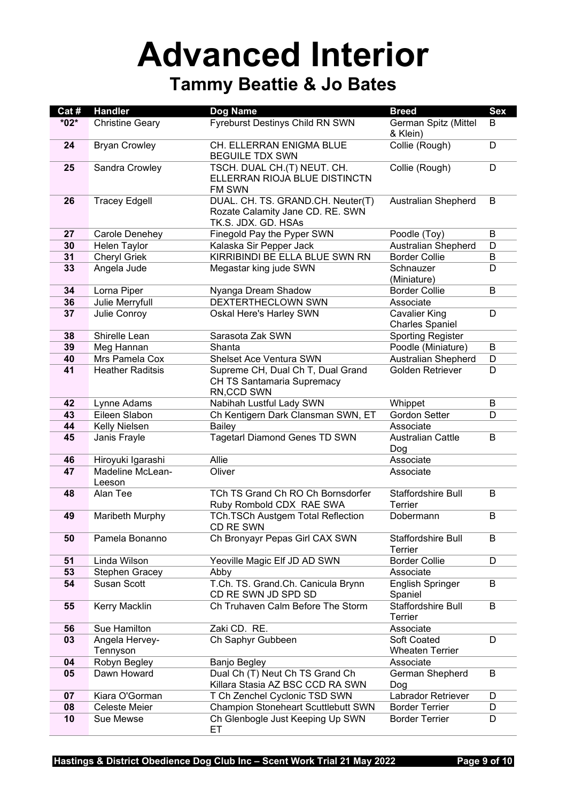#### **Advanced Interior Tammy Beattie & Jo Bates**

| Cat #  | <b>Handler</b>                            | <b>Dog Name</b>                                                                              | <b>Breed</b>                                   | <b>Sex</b> |
|--------|-------------------------------------------|----------------------------------------------------------------------------------------------|------------------------------------------------|------------|
| $*02*$ | <b>Christine Geary</b>                    | Fyreburst Destinys Child RN SWN                                                              | German Spitz (Mittel<br>& Klein)               | B          |
| 24     | <b>Bryan Crowley</b>                      | <b>CH. ELLERRAN ENIGMA BLUE</b><br><b>BEGUILE TDX SWN</b>                                    | Collie (Rough)                                 | D          |
| 25     | Sandra Crowley                            | TSCH. DUAL CH.(T) NEUT. CH.<br>ELLERRAN RIOJA BLUE DISTINCTN<br><b>FM SWN</b>                | Collie (Rough)                                 | D          |
| 26     | <b>Tracey Edgell</b>                      | DUAL. CH. TS. GRAND.CH. Neuter(T)<br>Rozate Calamity Jane CD. RE. SWN<br>TK.S. JDX. GD. HSAs | <b>Australian Shepherd</b>                     | B          |
| 27     | Carole Denehey                            | Finegold Pay the Pyper SWN                                                                   | Poodle (Toy)                                   | B          |
| 30     | Helen Taylor                              | Kalaska Sir Pepper Jack                                                                      | <b>Australian Shepherd</b>                     | D          |
| 31     | <b>Cheryl Griek</b>                       | KIRRIBINDI BE ELLA BLUE SWN RN                                                               | <b>Border Collie</b>                           | B          |
| 33     | Angela Jude                               | Megastar king jude SWN                                                                       | Schnauzer<br>(Miniature)                       | D          |
| 34     | Lorna Piper                               | Nyanga Dream Shadow                                                                          | <b>Border Collie</b>                           | B          |
| 36     | Julie Merryfull                           | DEXTERTHECLOWN SWN                                                                           | Associate                                      |            |
| 37     | Julie Conroy                              | Oskal Here's Harley SWN                                                                      | <b>Cavalier King</b><br><b>Charles Spaniel</b> | D          |
| 38     | Shirelle Lean                             | Sarasota Zak SWN                                                                             | <b>Sporting Register</b>                       |            |
| 39     | Meg Hannan                                | Shanta                                                                                       | Poodle (Miniature)                             | B          |
| 40     | Mrs Pamela Cox<br><b>Heather Raditsis</b> | Shelset Ace Ventura SWN                                                                      | <b>Australian Shepherd</b>                     | D          |
| 41     |                                           | Supreme CH, Dual Ch T, Dual Grand<br>CH TS Santamaria Supremacy<br>RN, CCD SWN               | Golden Retriever                               | D          |
| 42     | Lynne Adams                               | Nabihah Lustful Lady SWN                                                                     | Whippet                                        | B          |
| 43     | Eileen Slabon                             | Ch Kentigern Dark Clansman SWN, ET                                                           | <b>Gordon Setter</b>                           | D          |
| 44     | Kelly Nielsen                             | <b>Bailey</b>                                                                                | Associate                                      |            |
| 45     | Janis Frayle                              | <b>Tagetarl Diamond Genes TD SWN</b>                                                         | <b>Australian Cattle</b><br>Dog                | B          |
| 46     | Hiroyuki Igarashi                         | Allie                                                                                        | Associate                                      |            |
| 47     | Madeline McLean-<br>Leeson                | Oliver                                                                                       | Associate                                      |            |
| 48     | Alan Tee                                  | TCh TS Grand Ch RO Ch Bornsdorfer<br>Ruby Rombold CDX RAE SWA                                | Staffordshire Bull<br>Terrier                  | B          |
| 49     | Maribeth Murphy                           | TCh.TSCh Austgem Total Reflection<br>CD RE SWN                                               | Dobermann                                      | B          |
| 50     | Pamela Bonanno                            | Ch Bronyayr Pepas Girl CAX SWN                                                               | Staffordshire Bull<br>Terrier                  | B          |
| 51     | Linda Wilson                              | Yeoville Magic Elf JD AD SWN                                                                 | <b>Border Collie</b>                           | D          |
| 53     | Stephen Gracey                            | Abby                                                                                         | Associate                                      |            |
| 54     | <b>Susan Scott</b>                        | T.Ch. TS. Grand.Ch. Canicula Brynn<br>CD RE SWN JD SPD SD                                    | <b>English Springer</b><br>Spaniel             | B          |
| 55     | Kerry Macklin                             | Ch Truhaven Calm Before The Storm                                                            | Staffordshire Bull<br>Terrier                  | B          |
| 56     | Sue Hamilton                              | Zaki CD. RE.                                                                                 | Associate                                      |            |
| 03     | Angela Hervey-                            | Ch Saphyr Gubbeen                                                                            | Soft Coated                                    | D          |
|        | Tennyson                                  |                                                                                              | <b>Wheaten Terrier</b>                         |            |
| 04     | Robyn Begley                              | <b>Banjo Begley</b>                                                                          | Associate                                      |            |
| 05     | Dawn Howard                               | Dual Ch (T) Neut Ch TS Grand Ch<br>Killara Stasia AZ BSC CCD RA SWN                          | German Shepherd<br>Dog                         | B          |
| 07     | Kiara O'Gorman                            | T Ch Zenchel Cyclonic TSD SWN                                                                | Labrador Retriever                             | D          |
| 08     | Celeste Meier                             | <b>Champion Stoneheart Scuttlebutt SWN</b>                                                   | <b>Border Terrier</b>                          | D          |
| 10     | Sue Mewse                                 | Ch Glenbogle Just Keeping Up SWN<br>ЕT                                                       | <b>Border Terrier</b>                          | D          |